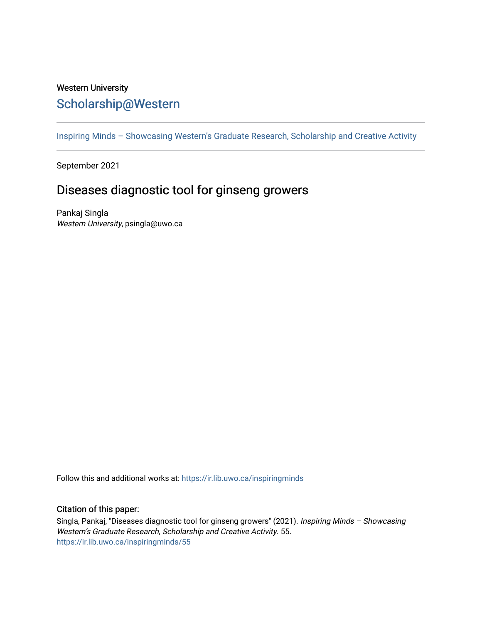## Western University [Scholarship@Western](https://ir.lib.uwo.ca/)

[Inspiring Minds – Showcasing Western's Graduate Research, Scholarship and Creative Activity](https://ir.lib.uwo.ca/inspiringminds) 

September 2021

# Diseases diagnostic tool for ginseng growers

Pankaj Singla Western University, psingla@uwo.ca

Follow this and additional works at: [https://ir.lib.uwo.ca/inspiringminds](https://ir.lib.uwo.ca/inspiringminds?utm_source=ir.lib.uwo.ca%2Finspiringminds%2F55&utm_medium=PDF&utm_campaign=PDFCoverPages) 

### Citation of this paper:

Singla, Pankaj, "Diseases diagnostic tool for ginseng growers" (2021). Inspiring Minds – Showcasing Western's Graduate Research, Scholarship and Creative Activity. 55. [https://ir.lib.uwo.ca/inspiringminds/55](https://ir.lib.uwo.ca/inspiringminds/55?utm_source=ir.lib.uwo.ca%2Finspiringminds%2F55&utm_medium=PDF&utm_campaign=PDFCoverPages)